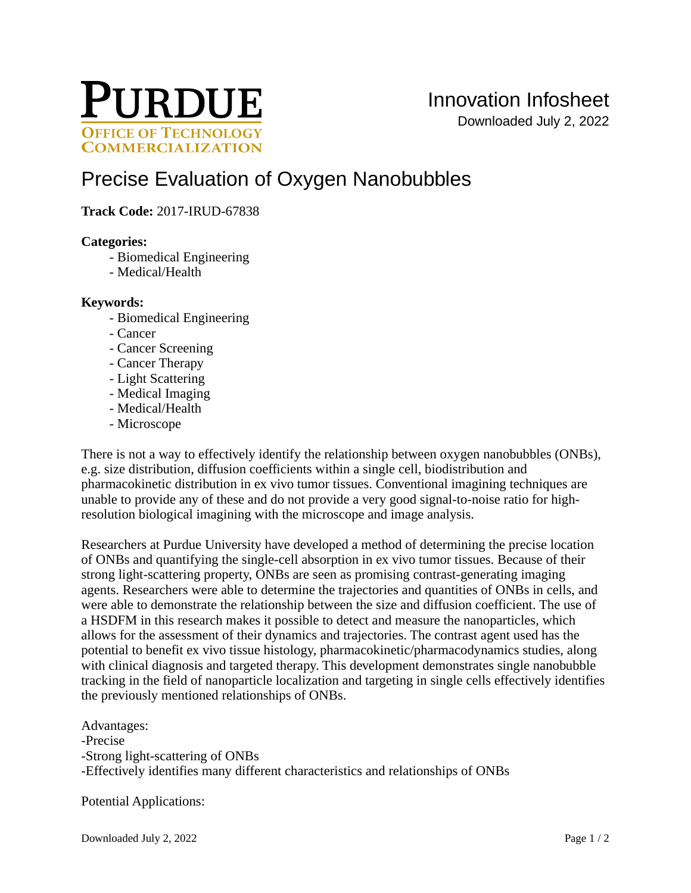

# [Precise Evaluation of Oxygen Nanobubbles](https://inventions.prf.org/innovation/6398)

# **Track Code:** 2017-IRUD-67838

#### **Categories:**

- Biomedical Engineering
- Medical/Health

#### **Keywords:**

- Biomedical Engineering
- Cancer
- Cancer Screening
- Cancer Therapy
- Light Scattering
- Medical Imaging
- Medical/Health
- Microscope

There is not a way to effectively identify the relationship between oxygen nanobubbles (ONBs), e.g. size distribution, diffusion coefficients within a single cell, biodistribution and pharmacokinetic distribution in ex vivo tumor tissues. Conventional imagining techniques are unable to provide any of these and do not provide a very good signal-to-noise ratio for highresolution biological imagining with the microscope and image analysis.

Researchers at Purdue University have developed a method of determining the precise location of ONBs and quantifying the single-cell absorption in ex vivo tumor tissues. Because of their strong light-scattering property, ONBs are seen as promising contrast-generating imaging agents. Researchers were able to determine the trajectories and quantities of ONBs in cells, and were able to demonstrate the relationship between the size and diffusion coefficient. The use of a HSDFM in this research makes it possible to detect and measure the nanoparticles, which allows for the assessment of their dynamics and trajectories. The contrast agent used has the potential to benefit ex vivo tissue histology, pharmacokinetic/pharmacodynamics studies, along with clinical diagnosis and targeted therapy. This development demonstrates single nanobubble tracking in the field of nanoparticle localization and targeting in single cells effectively identifies the previously mentioned relationships of ONBs.

Advantages: -Precise -Strong light-scattering of ONBs -Effectively identifies many different characteristics and relationships of ONBs

Potential Applications: